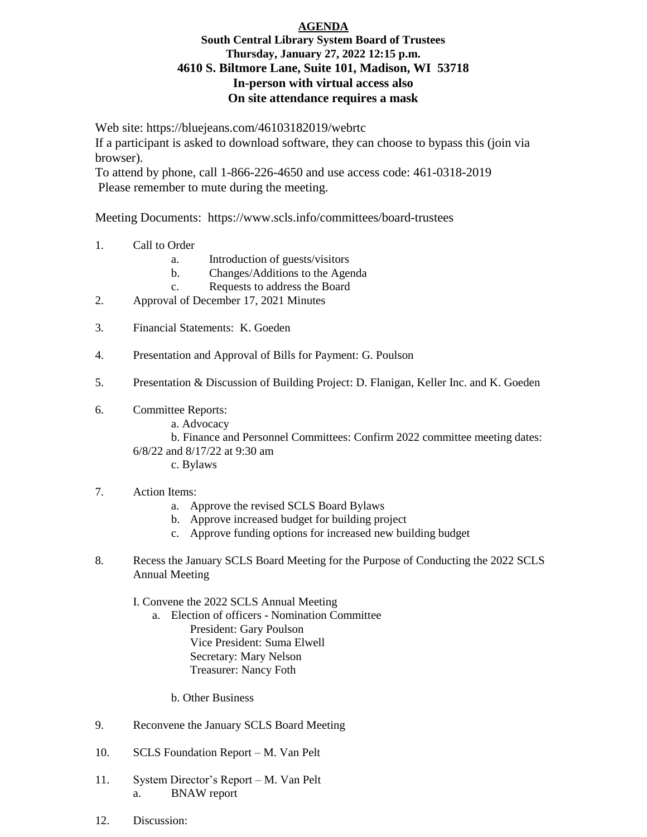## **AGENDA South Central Library System Board of Trustees Thursday, January 27, 2022 12:15 p.m. 4610 S. Biltmore Lane, Suite 101, Madison, WI 53718 In-person with virtual access also On site attendance requires a mask**

Web site: https://bluejeans.com/46103182019/webrtc

If a participant is asked to download software, they can choose to bypass this (join via browser).

To attend by phone, call 1-866-226-4650 and use access code: 461-0318-2019 Please remember to mute during the meeting.

Meeting Documents: https://www.scls.info/committees/board-trustees

- 1. Call to Order
	- a. Introduction of guests/visitors
	- b. Changes/Additions to the Agenda
	- c. Requests to address the Board
- 2. Approval of December 17, 2021 Minutes
- 3. Financial Statements: K. Goeden
- 4. Presentation and Approval of Bills for Payment: G. Poulson
- 5. Presentation & Discussion of Building Project: D. Flanigan, Keller Inc. and K. Goeden
- 6. Committee Reports:
	- a. Advocacy

b. Finance and Personnel Committees: Confirm 2022 committee meeting dates:

6/8/22 and 8/17/22 at 9:30 am

c. Bylaws

## 7. Action Items:

- a. Approve the revised SCLS Board Bylaws
- b. Approve increased budget for building project
- c. Approve funding options for increased new building budget
- 8. Recess the January SCLS Board Meeting for the Purpose of Conducting the 2022 SCLS Annual Meeting

I. Convene the 2022 SCLS Annual Meeting

a. Election of officers - Nomination Committee President: Gary Poulson Vice President: Suma Elwell Secretary: Mary Nelson Treasurer: Nancy Foth

b. Other Business

- 9. Reconvene the January SCLS Board Meeting
- 10. SCLS Foundation Report M. Van Pelt
- 11. System Director's Report M. Van Pelt a. BNAW report
- 12. Discussion: